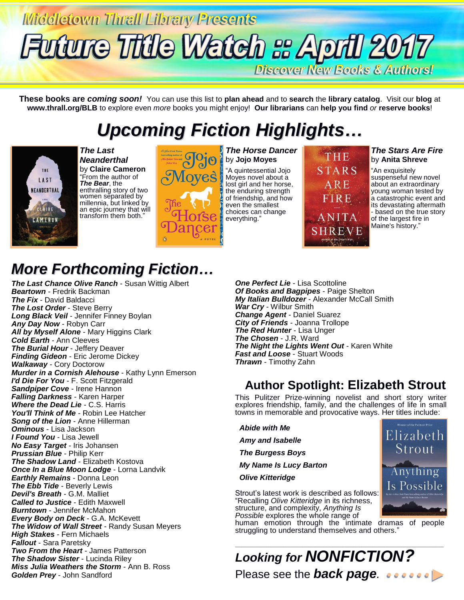# Middletown Thrall Library Presents Future Title Watch & April 2017

**Discover New Books & Authors!** 

**These books are** *coming soon!* You can use this list to **plan ahead** and to **search** the **library catalog**. Visit our **blog** at **www.thrall.org/BLB** to explore even *more* books you might enjoy! **Our librarians** can **help you find** *or* **reserve books**!

# *Upcoming Fiction Highlights…*



*The Last Neanderthal* by **Claire Cameron** "From the author of *The Bear*, the enthralling story of two women separated by millennia, but linked by an epic journey that will transform them both."



*The Horse Dancer* by **Jojo Moyes**

"A quintessential Jojo Moyes novel about a lost girl and her horse, the enduring strength of friendship, and how even the smallest choices can change everything."

THE **STARS** ARE FIRE ANITA H R E V H

#### *The Stars Are Fire* by **Anita Shreve**

"An exquisitely suspenseful new novel about an extraordinary young woman tested by a catastrophic event and its devastating aftermath - based on the true story of the largest fire in Maine's history."

> Elizabeth Strout

Anything Is Possible

## *More Forthcoming Fiction…*

*The Last Chance Olive Ranch* - Susan Wittig Albert *Beartown* - Fredrik Backman *The Fix* - David Baldacci *The Lost Order* - Steve Berry *Long Black Veil* - Jennifer Finney Boylan *Any Day Now* - Robyn Carr *All by Myself Alone* - Mary Higgins Clark *Cold Earth* - Ann Cleeves *The Burial Hour* - Jeffery Deaver *Finding Gideon* - Eric Jerome Dickey *Walkaway* - Cory Doctorow *Murder in a Cornish Alehouse* - Kathy Lynn Emerson *I'd Die For You* - F. Scott Fitzgerald *Sandpiper Cove* - Irene Hannon *Falling Darkness* - Karen Harper *Where the Dead Lie* - C.S. Harris *You'll Think of Me* - Robin Lee Hatcher *Song of the Lion* - Anne Hillerman *Ominous* - Lisa Jackson *I Found You* - Lisa Jewell *No Easy Target* - Iris Johansen *Prussian Blue* - Philip Kerr *The Shadow Land* - Elizabeth Kostova *Once In a Blue Moon Lodge* - Lorna Landvik *Earthly Remains* - Donna Leon *The Ebb Tide* - Beverly Lewis *Devil's Breath* - G.M. Malliet *Called to Justice* - Edith Maxwell *Burntown* - Jennifer McMahon *Every Body on Deck* - G.A. McKevett *The Widow of Wall Street* - Randy Susan Meyers *High Stakes* - Fern Michaels *Fallout* - Sara Paretsky *Two From the Heart* - James Patterson *The Shadow Sister* - Lucinda Riley *Miss Julia Weathers the Storm* - Ann B. Ross *Golden Prey* - John Sandford

*One Perfect Lie* - Lisa Scottoline *Of Books and Bagpipes* - Paige Shelton *My Italian Bulldozer* - Alexander McCall Smith *War Cry* - Wilbur Smith *Change Agent* - Daniel Suarez *City of Friends* - Joanna Trollope *The Red Hunter* - Lisa Unger *The Chosen* - J.R. Ward *The Night the Lights Went Out* - Karen White *Fast and Loose* - Stuart Woods *Thrawn* - Timothy Zahn

### **Author Spotlight: Elizabeth Strout**

This Pulitzer Prize-winning novelist and short story writer explores friendship, family, and the challenges of life in small towns in memorable and provocative ways. Her titles include:

 *Abide with Me Amy and Isabelle The Burgess Boys My Name Is Lucy Barton Olive Kitteridge*

Strout's latest work is described as follows: "Recalling *Olive Kitteridge* in its richness, structure, and complexity, *Anything Is Possible* explores the whole range of

human emotion through the intimate dramas of people struggling to understand themselves and others.'

#### \_\_\_\_\_\_\_\_\_\_\_\_\_\_\_\_\_\_\_\_\_\_\_\_\_\_\_\_\_\_\_\_\_\_\_\_\_\_\_\_\_\_\_\_\_\_\_\_\_\_\_\_\_\_\_\_\_\_\_\_\_\_\_\_\_\_\_\_\_\_\_\_\_\_\_\_\_\_\_\_\_\_\_\_\_\_\_\_\_\_\_\_\_\_\_\_\_\_\_ *Looking for NONFICTION?* Please see the **back page**. *existe*